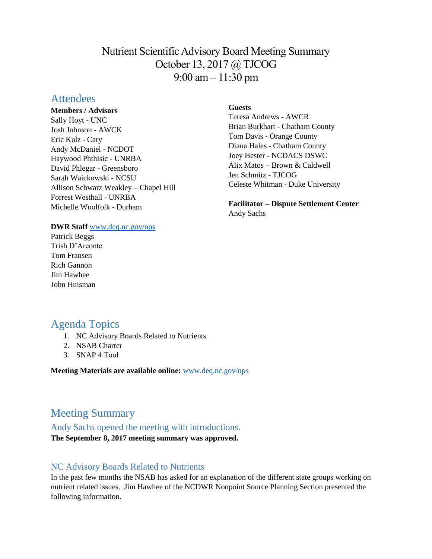# Nutrient Scientific Advisory Board Meeting Summary October 13, 2017 @ TJCOG 9:00 am – 11:30 pm

# **Attendees**

**Members / Advisors** Sally Hoyt - UNC Josh Johnson - AWCK Eric Kulz - Cary Andy McDaniel - NCDOT Haywood Phthisic - UNRBA David Phlegar - Greensboro Sarah Waickowski - NCSU Allison Schwarz Weakley – Chapel Hill Forrest Westhall - UNRBA Michelle Woolfolk - Durham

#### **DWR Staff** [www.deq.nc.gov/nps](http://www.deq.nc.gov/nps)

Patrick Beggs Trish D'Arconte Tom Fransen Rich Gannon Jim Hawhee John Huisman

#### **Guests**

Teresa Andrews - AWCR Brian Burkhart - Chatham County Tom Davis - Orange County Diana Hales - Chatham County Joey Hester - NCDACS DSWC Alix Matos – Brown & Caldwell Jen Schmitz - TJCOG Celeste Whitman - Duke University

**Facilitator – Dispute Settlement Center** Andy Sachs

# Agenda Topics

- 1. NC Advisory Boards Related to Nutrients
- 2. NSAB Charter
- 3. SNAP 4 Tool

**Meeting Materials are available online:** [www.deq.nc.gov/nps](https://deq.nc.gov/about/divisions/water-resources/planning/nonpoint-source-management/nutrient-scientific-advisory-board/meeting-documents)

# Meeting Summary

# Andy Sachs opened the meeting with introductions.

**The September 8, 2017 meeting summary was approved.** 

## NC Advisory Boards Related to Nutrients

In the past few months the NSAB has asked for an explanation of the different state groups working on nutrient related issues. Jim Hawhee of the NCDWR Nonpoint Source Planning Section presented the following information.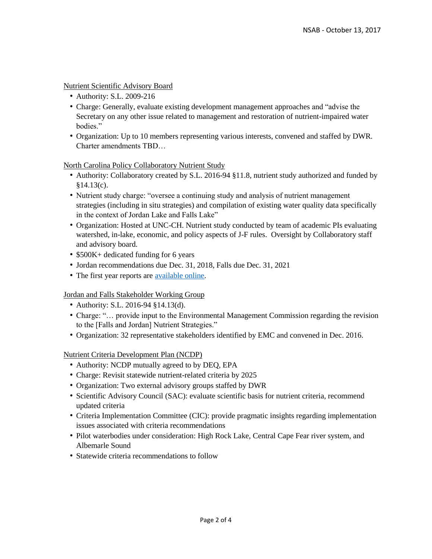#### Nutrient Scientific Advisory Board

- Authority: S.L. 2009-216
- Charge: Generally, evaluate existing development management approaches and "advise the Secretary on any other issue related to management and restoration of nutrient-impaired water bodies."
- Organization: Up to 10 members representing various interests, convened and staffed by DWR. Charter amendments TBD…

North Carolina Policy Collaboratory Nutrient Study

- Authority: Collaboratory created by S.L. 2016-94 §11.8, nutrient study authorized and funded by §14.13(c).
- Nutrient study charge: "oversee a continuing study and analysis of nutrient management strategies (including in situ strategies) and compilation of existing water quality data specifically in the context of Jordan Lake and Falls Lake"
- Organization: Hosted at UNC-CH. Nutrient study conducted by team of academic PIs evaluating watershed, in-lake, economic, and policy aspects of J-F rules. Oversight by Collaboratory staff and advisory board.
- \$500K+ dedicated funding for 6 years
- Jordan recommendations due Dec. 31, 2018, Falls due Dec. 31, 2021
- The first year reports are [available online.](https://deq.nc.gov/about/divisions/water-resources/planning/nonpoint-source-management/nutrient-scientific-advisory-board/meeting-documents)

#### Jordan and Falls Stakeholder Working Group

- Authority: S.L. 2016-94 §14.13(d).
- Charge: "… provide input to the Environmental Management Commission regarding the revision to the [Falls and Jordan] Nutrient Strategies."
- Organization: 32 representative stakeholders identified by EMC and convened in Dec. 2016.

#### Nutrient Criteria Development Plan (NCDP)

- Authority: NCDP mutually agreed to by DEQ, EPA
- Charge: Revisit statewide nutrient-related criteria by 2025
- Organization: Two external advisory groups staffed by DWR
- Scientific Advisory Council (SAC): evaluate scientific basis for nutrient criteria, recommend updated criteria
- Criteria Implementation Committee (CIC): provide pragmatic insights regarding implementation issues associated with criteria recommendations
- Pilot waterbodies under consideration: High Rock Lake, Central Cape Fear river system, and Albemarle Sound
- Statewide criteria recommendations to follow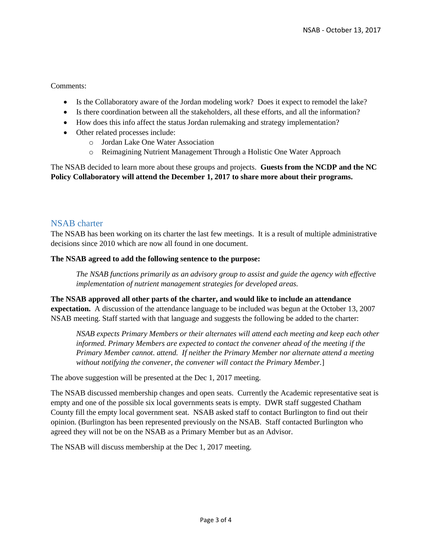#### Comments:

- Is the Collaboratory aware of the Jordan modeling work? Does it expect to remodel the lake?
- Is there coordination between all the stakeholders, all these efforts, and all the information?
- How does this info affect the status Jordan rulemaking and strategy implementation?
- Other related processes include:
	- o Jordan Lake One Water Association
	- o Reimagining Nutrient Management Through a Holistic One Water Approach

The NSAB decided to learn more about these groups and projects. **Guests from the NCDP and the NC Policy Collaboratory will attend the December 1, 2017 to share more about their programs.** 

### NSAB charter

The NSAB has been working on its charter the last few meetings. It is a result of multiple administrative decisions since 2010 which are now all found in one document.

#### **The NSAB agreed to add the following sentence to the purpose:**

*The NSAB functions primarily as an advisory group to assist and guide the agency with effective implementation of nutrient management strategies for developed areas.*

**The NSAB approved all other parts of the charter, and would like to include an attendance expectation.** A discussion of the attendance language to be included was begun at the October 13, 2007 NSAB meeting. Staff started with that language and suggests the following be added to the charter:

*NSAB expects Primary Members or their alternates will attend each meeting and keep each other informed. Primary Members are expected to contact the convener ahead of the meeting if the Primary Member cannot. attend. If neither the Primary Member nor alternate attend a meeting without notifying the convener, the convener will contact the Primary Member.*]

The above suggestion will be presented at the Dec 1, 2017 meeting.

The NSAB discussed membership changes and open seats. Currently the Academic representative seat is empty and one of the possible six local governments seats is empty. DWR staff suggested Chatham County fill the empty local government seat. NSAB asked staff to contact Burlington to find out their opinion. (Burlington has been represented previously on the NSAB. Staff contacted Burlington who agreed they will not be on the NSAB as a Primary Member but as an Advisor.

The NSAB will discuss membership at the Dec 1, 2017 meeting.